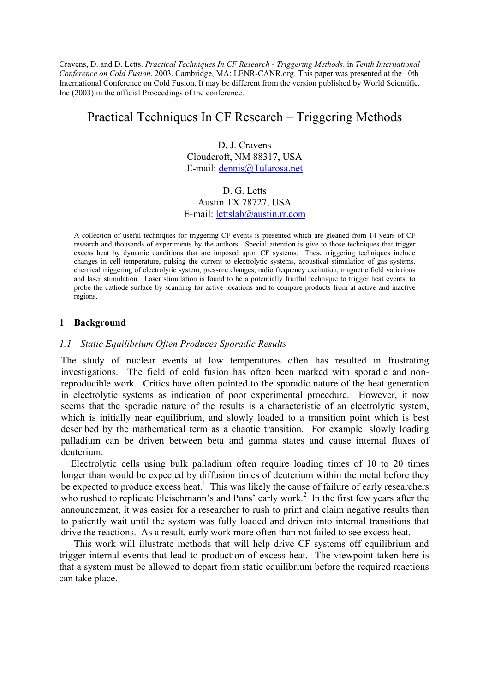Cravens, D. and D. Letts. *Practical Techniques In CF Research - Triggering Methods*. in *Tenth International Conference on Cold Fusion*. 2003. Cambridge, MA: LENR-CANR.org. This paper was presented at the 10th International Conference on Cold Fusion. It may be different from the version published by World Scientific, Inc (2003) in the official Proceedings of the conference.

# Practical Techniques In CF Research – Triggering Methods

## D. J. Cravens Cloudcroft, NM 88317, USA E-mail: [dennis@Tularosa.net](mailto:dennis@Tularosa.net)

## D. G. Letts

## Austin TX 78727, USA

#### E-mail: [lettslab@austin.rr.com](mailto:lettslab@austin.rr.com)

A collection of useful techniques for triggering CF events is presented which are gleaned from 14 years of CF research and thousands of experiments by the authors. Special attention is give to those techniques that trigger excess heat by dynamic conditions that are imposed upon CF systems. These triggering techniques include changes in cell temperature, pulsing the current to electrolytic systems, acoustical stimulation of gas systems, chemical triggering of electrolytic system, pressure changes, radio frequency excitation, magnetic field variations and laser stimulation. Laser stimulation is found to be a potentially fruitful technique to trigger heat events, to probe the cathode surface by scanning for active locations and to compare products from at active and inactive regions.

## **1 Background**

## *1.1 Static Equilibrium Often Produces Sporadic Results*

The study of nuclear events at low temperatures often has resulted in frustrating investigations. The field of cold fusion has often been marked with sporadic and nonreproducible work. Critics have often pointed to the sporadic nature of the heat generation in electrolytic systems as indication of poor experimental procedure. However, it now seems that the sporadic nature of the results is a characteristic of an electrolytic system, which is initially near equilibrium, and slowly loaded to a transition point which is best described by the mathematical term as a chaotic transition. For example: slowly loading palladium can be driven between beta and gamma states and cause internal fluxes of deuterium.

 Electrolytic cells using bulk palladium often require loading times of 10 to 20 times longer than would be expected by diffusion times of deuterium within the metal before they be expected to produce excess heat.<sup>1</sup> This was likely the cause of failure of early researchers who rushed to replicate Fleischmann's and Pons' early work.<sup>2</sup> In the first few years after the announcement, it was easier for a researcher to rush to print and claim negative results than to patiently wait until the system was fully loaded and driven into internal transitions that drive the reactions. As a result, early work more often than not failed to see excess heat.

This work will illustrate methods that will help drive CF systems off equilibrium and trigger internal events that lead to production of excess heat. The viewpoint taken here is that a system must be allowed to depart from static equilibrium before the required reactions can take place.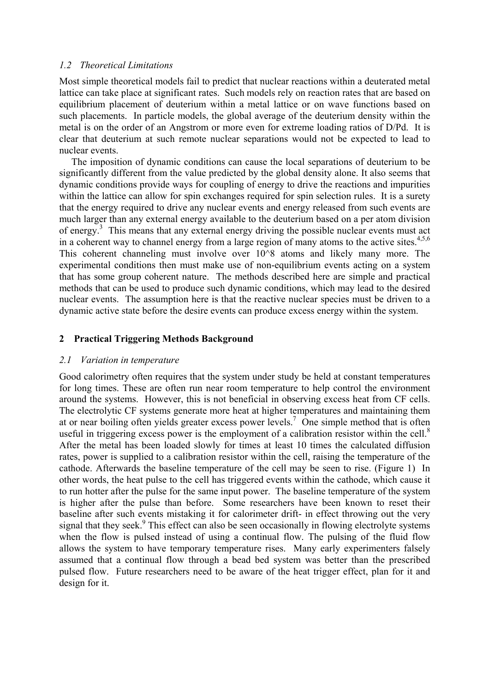## *1.2 Theoretical Limitations*

Most simple theoretical models fail to predict that nuclear reactions within a deuterated metal lattice can take place at significant rates. Such models rely on reaction rates that are based on equilibrium placement of deuterium within a metal lattice or on wave functions based on such placements. In particle models, the global average of the deuterium density within the metal is on the order of an Angstrom or more even for extreme loading ratios of D/Pd. It is clear that deuterium at such remote nuclear separations would not be expected to lead to nuclear events.

 The imposition of dynamic conditions can cause the local separations of deuterium to be significantly different from the value predicted by the global density alone. It also seems that dynamic conditions provide ways for coupling of energy to drive the reactions and impurities within the lattice can allow for spin exchanges required for spin selection rules. It is a surety that the energy required to drive any nuclear events and energy released from such events are much larger than any external energy available to the deuterium based on a per atom division of energy.<sup>3</sup> This means that any external energy driving the possible nuclear events must act in a coherent way to channel energy from a large region of many atoms to the active sites.<sup>4,5,6</sup> This coherent channeling must involve over 10^8 atoms and likely many more. The experimental conditions then must make use of non-equilibrium events acting on a system that has some group coherent nature. The methods described here are simple and practical methods that can be used to produce such dynamic conditions, which may lead to the desired nuclear events. The assumption here is that the reactive nuclear species must be driven to a dynamic active state before the desire events can produce excess energy within the system.

## **2 Practical Triggering Methods Background**

## *2.1 Variation in temperature*

Good calorimetry often requires that the system under study be held at constant temperatures for long times. These are often run near room temperature to help control the environment around the systems. However, this is not beneficial in observing excess heat from CF cells. The electrolytic CF systems generate more heat at higher temperatures and maintaining them at or near boiling often yields greater excess power levels.<sup>7</sup> One simple method that is often useful in triggering excess power is the employment of a calibration resistor within the cell. $8$ After the metal has been loaded slowly for times at least 10 times the calculated diffusion rates, power is supplied to a calibration resistor within the cell, raising the temperature of the cathode. Afterwards the baseline temperature of the cell may be seen to rise. (Figure 1) In other words, the heat pulse to the cell has triggered events within the cathode, which cause it to run hotter after the pulse for the same input power. The baseline temperature of the system is higher after the pulse than before. Some researchers have been known to reset their baseline after such events mistaking it for calorimeter drift- in effect throwing out the very signal that they seek.<sup>9</sup> This effect can also be seen occasionally in flowing electrolyte systems when the flow is pulsed instead of using a continual flow. The pulsing of the fluid flow allows the system to have temporary temperature rises. Many early experimenters falsely assumed that a continual flow through a bead bed system was better than the prescribed pulsed flow. Future researchers need to be aware of the heat trigger effect, plan for it and design for it.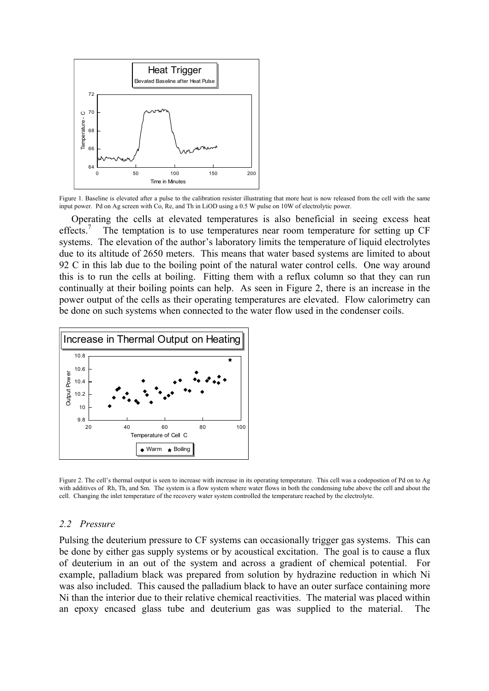

Figure 1. Baseline is elevated after a pulse to the calibration resister illustrating that more heat is now released from the cell with the same input power. Pd on Ag screen with Co, Re, and Th in LiOD using a 0.5 W pulse on 10W of electrolytic power.

 Operating the cells at elevated temperatures is also beneficial in seeing excess heat  $effects$ <sup> $7$ </sup> The temptation is to use temperatures near room temperature for setting up CF systems. The elevation of the author's laboratory limits the temperature of liquid electrolytes due to its altitude of 2650 meters. This means that water based systems are limited to about 92 C in this lab due to the boiling point of the natural water control cells. One way around this is to run the cells at boiling. Fitting them with a reflux column so that they can run continually at their boiling points can help. As seen in Figure 2, there is an increase in the power output of the cells as their operating temperatures are elevated. Flow calorimetry can be done on such systems when connected to the water flow used in the condenser coils.



Figure 2. The cell's thermal output is seen to increase with increase in its operating temperature. This cell was a codepostion of Pd on to Ag with additives of Rh, Th, and Sm. The system is a flow system where water flows in both the condensing tube above the cell and about the cell. Changing the inlet temperature of the recovery water system controlled the temperature reached by the electrolyte.

## *2.2 Pressure*

Pulsing the deuterium pressure to CF systems can occasionally trigger gas systems. This can be done by either gas supply systems or by acoustical excitation. The goal is to cause a flux of deuterium in an out of the system and across a gradient of chemical potential. For example, palladium black was prepared from solution by hydrazine reduction in which Ni was also included. This caused the palladium black to have an outer surface containing more Ni than the interior due to their relative chemical reactivities. The material was placed within an epoxy encased glass tube and deuterium gas was supplied to the material. The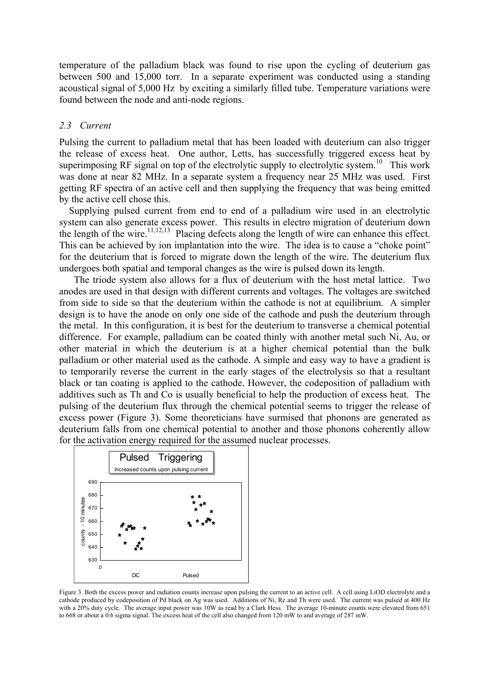temperature of the palladium black was found to rise upon the cycling of deuterium gas between 500 and 15,000 torr. In a separate experiment was conducted using a standing acoustical signal of 5,000 Hz by exciting a similarly filled tube. Temperature variations were found between the node and anti-node regions.

#### *2.3 Current*

Pulsing the current to palladium metal that has been loaded with deuterium can also trigger the release of excess heat. One author, Letts, has successfully triggered excess heat by superimposing RF signal on top of the electrolytic supply to electrolytic system.<sup>10</sup> This work was done at near 82 MHz. In a separate system a frequency near 25 MHz was used. First getting RF spectra of an active cell and then supplying the frequency that was being emitted by the active cell chose this.

 Supplying pulsed current from end to end of a palladium wire used in an electrolytic system can also generate excess power. This results in electro migration of deuterium down the length of the wire.<sup>11,12,13</sup> Placing defects along the length of wire can enhance this effect. This can be achieved by ion implantation into the wire. The idea is to cause a "choke point" for the deuterium that is forced to migrate down the length of the wire. The deuterium flux undergoes both spatial and temporal changes as the wire is pulsed down its length.

The triode system also allows for a flux of deuterium with the host metal lattice. Two anodes are used in that design with different currents and voltages. The voltages are switched from side to side so that the deuterium within the cathode is not at equilibrium. A simpler design is to have the anode on only one side of the cathode and push the deuterium through the metal. In this configuration, it is best for the deuterium to transverse a chemical potential difference. For example, palladium can be coated thinly with another metal such Ni, Au, or other material in which the deuterium is at a higher chemical potential than the bulk palladium or other material used as the cathode. A simple and easy way to have a gradient is to temporarily reverse the current in the early stages of the electrolysis so that a resultant black or tan coating is applied to the cathode. However, the codeposition of palladium with additives such as Th and Co is usually beneficial to help the production of excess heat. The pulsing of the deuterium flux through the chemical potential seems to trigger the release of excess power (Figure 3). Some theoreticians have surmised that phonons are generated as deuterium falls from one chemical potential to another and those phonons coherently allow for the activation energy required for the assumed nuclear processes.



Figure 3. Both the excess power and radiation counts increase upon pulsing the current to an active cell. A cell using LiOD electrolyte and a cathode produced by codeposition of Pd black on Ag was used. Additions of Ni, Re and Th were used. The current was pulsed at 400 Hz with a 20% duty cycle. The average input power was 10W as read by a Clark Hess. The average 10-minute counts were elevated from 651 to 668 or about a 0.6 sigma signal. The excess heat of the cell also changed from 120 mW to and average of 287 mW.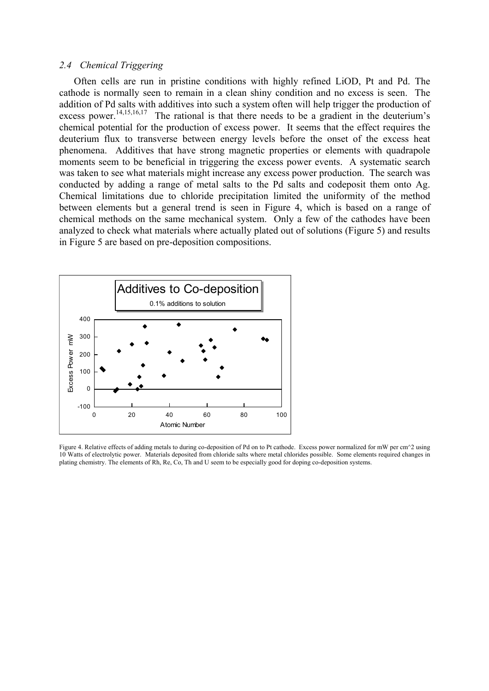#### *2.4 Chemical Triggering*

Often cells are run in pristine conditions with highly refined LiOD, Pt and Pd. The cathode is normally seen to remain in a clean shiny condition and no excess is seen. The addition of Pd salts with additives into such a system often will help trigger the production of excess power.<sup>14,15,16,17</sup> The rational is that there needs to be a gradient in the deuterium's chemical potential for the production of excess power. It seems that the effect requires the deuterium flux to transverse between energy levels before the onset of the excess heat phenomena. Additives that have strong magnetic properties or elements with quadrapole moments seem to be beneficial in triggering the excess power events. A systematic search was taken to see what materials might increase any excess power production. The search was conducted by adding a range of metal salts to the Pd salts and codeposit them onto Ag. Chemical limitations due to chloride precipitation limited the uniformity of the method between elements but a general trend is seen in Figure 4, which is based on a range of chemical methods on the same mechanical system. Only a few of the cathodes have been analyzed to check what materials where actually plated out of solutions (Figure 5) and results in Figure 5 are based on pre-deposition compositions.



Figure 4. Relative effects of adding metals to during co-deposition of Pd on to Pt cathode. Excess power normalized for mW per cm<sup>^2</sup> using 10 Watts of electrolytic power. Materials deposited from chloride salts where metal chlorides possible. Some elements required changes in plating chemistry. The elements of Rh, Re, Co, Th and U seem to be especially good for doping co-deposition systems.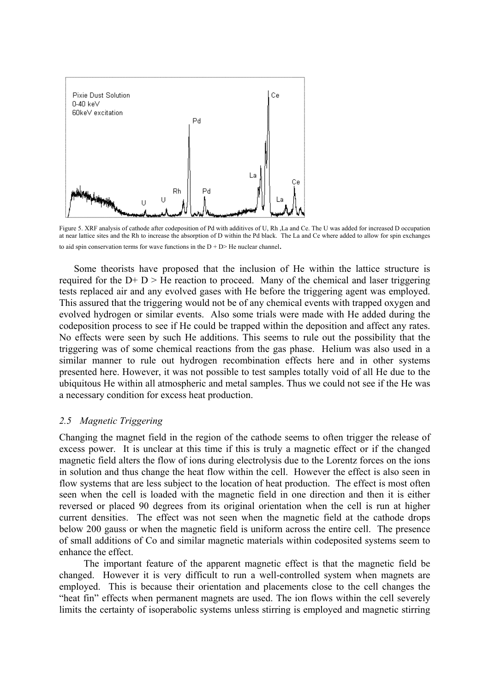

Figure 5. XRF analysis of cathode after codeposition of Pd with additives of U, Rh ,La and Ce. The U was added for increased D occupation at near lattice sites and the Rh to increase the absorption of D within the Pd black. The La and Ce where added to allow for spin exchanges to aid spin conservation terms for wave functions in the  $D + D$  He nuclear channel.

Some theorists have proposed that the inclusion of He within the lattice structure is required for the  $D+ D$  > He reaction to proceed. Many of the chemical and laser triggering tests replaced air and any evolved gases with He before the triggering agent was employed. This assured that the triggering would not be of any chemical events with trapped oxygen and evolved hydrogen or similar events. Also some trials were made with He added during the codeposition process to see if He could be trapped within the deposition and affect any rates. No effects were seen by such He additions. This seems to rule out the possibility that the triggering was of some chemical reactions from the gas phase. Helium was also used in a similar manner to rule out hydrogen recombination effects here and in other systems presented here. However, it was not possible to test samples totally void of all He due to the ubiquitous He within all atmospheric and metal samples. Thus we could not see if the He was a necessary condition for excess heat production.

## *2.5 Magnetic Triggering*

Changing the magnet field in the region of the cathode seems to often trigger the release of excess power. It is unclear at this time if this is truly a magnetic effect or if the changed magnetic field alters the flow of ions during electrolysis due to the Lorentz forces on the ions in solution and thus change the heat flow within the cell. However the effect is also seen in flow systems that are less subject to the location of heat production. The effect is most often seen when the cell is loaded with the magnetic field in one direction and then it is either reversed or placed 90 degrees from its original orientation when the cell is run at higher current densities. The effect was not seen when the magnetic field at the cathode drops below 200 gauss or when the magnetic field is uniform across the entire cell. The presence of small additions of Co and similar magnetic materials within codeposited systems seem to enhance the effect.

 The important feature of the apparent magnetic effect is that the magnetic field be changed. However it is very difficult to run a well-controlled system when magnets are employed. This is because their orientation and placements close to the cell changes the "heat fin" effects when permanent magnets are used. The ion flows within the cell severely limits the certainty of isoperabolic systems unless stirring is employed and magnetic stirring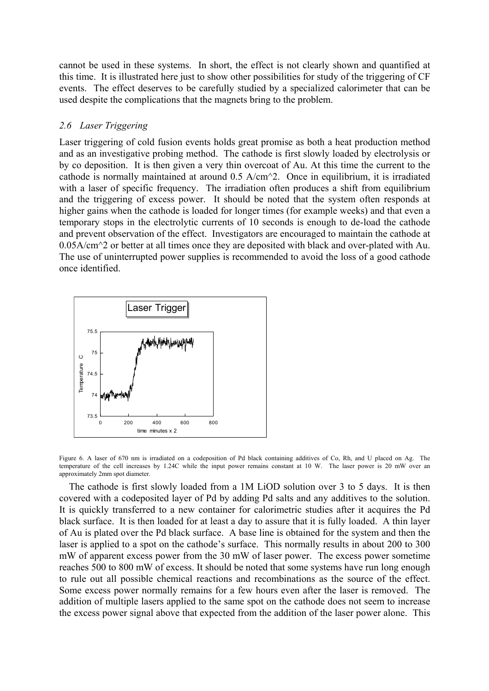cannot be used in these systems. In short, the effect is not clearly shown and quantified at this time. It is illustrated here just to show other possibilities for study of the triggering of CF events. The effect deserves to be carefully studied by a specialized calorimeter that can be used despite the complications that the magnets bring to the problem.

## *2.6 Laser Triggering*

Laser triggering of cold fusion events holds great promise as both a heat production method and as an investigative probing method. The cathode is first slowly loaded by electrolysis or by co deposition. It is then given a very thin overcoat of Au. At this time the current to the cathode is normally maintained at around 0.5 A/cm^2. Once in equilibrium, it is irradiated with a laser of specific frequency. The irradiation often produces a shift from equilibrium and the triggering of excess power. It should be noted that the system often responds at higher gains when the cathode is loaded for longer times (for example weeks) and that even a temporary stops in the electrolytic currents of 10 seconds is enough to de-load the cathode and prevent observation of the effect. Investigators are encouraged to maintain the cathode at 0.05A/cm^2 or better at all times once they are deposited with black and over-plated with Au. The use of uninterrupted power supplies is recommended to avoid the loss of a good cathode once identified.



Figure 6. A laser of 670 nm is irradiated on a codeposition of Pd black containing additives of Co, Rh, and U placed on Ag. The temperature of the cell increases by 1.24C while the input power remains constant at 10 W. The laser power is 20 mW over an approximately 2mm spot diameter.

The cathode is first slowly loaded from a 1M LiOD solution over 3 to 5 days. It is then covered with a codeposited layer of Pd by adding Pd salts and any additives to the solution. It is quickly transferred to a new container for calorimetric studies after it acquires the Pd black surface. It is then loaded for at least a day to assure that it is fully loaded. A thin layer of Au is plated over the Pd black surface. A base line is obtained for the system and then the laser is applied to a spot on the cathode's surface. This normally results in about 200 to 300 mW of apparent excess power from the 30 mW of laser power. The excess power sometime reaches 500 to 800 mW of excess. It should be noted that some systems have run long enough to rule out all possible chemical reactions and recombinations as the source of the effect. Some excess power normally remains for a few hours even after the laser is removed. The addition of multiple lasers applied to the same spot on the cathode does not seem to increase the excess power signal above that expected from the addition of the laser power alone. This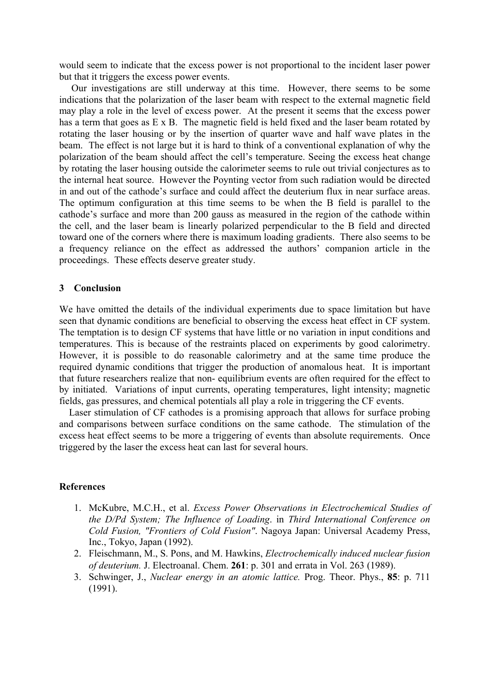would seem to indicate that the excess power is not proportional to the incident laser power but that it triggers the excess power events.

 Our investigations are still underway at this time. However, there seems to be some indications that the polarization of the laser beam with respect to the external magnetic field may play a role in the level of excess power. At the present it seems that the excess power has a term that goes as E x B. The magnetic field is held fixed and the laser beam rotated by rotating the laser housing or by the insertion of quarter wave and half wave plates in the beam. The effect is not large but it is hard to think of a conventional explanation of why the polarization of the beam should affect the cell's temperature. Seeing the excess heat change by rotating the laser housing outside the calorimeter seems to rule out trivial conjectures as to the internal heat source. However the Poynting vector from such radiation would be directed in and out of the cathode's surface and could affect the deuterium flux in near surface areas. The optimum configuration at this time seems to be when the B field is parallel to the cathode's surface and more than 200 gauss as measured in the region of the cathode within the cell, and the laser beam is linearly polarized perpendicular to the B field and directed toward one of the corners where there is maximum loading gradients. There also seems to be a frequency reliance on the effect as addressed the authors' companion article in the proceedings. These effects deserve greater study.

## **3 Conclusion**

We have omitted the details of the individual experiments due to space limitation but have seen that dynamic conditions are beneficial to observing the excess heat effect in CF system. The temptation is to design CF systems that have little or no variation in input conditions and temperatures. This is because of the restraints placed on experiments by good calorimetry. However, it is possible to do reasonable calorimetry and at the same time produce the required dynamic conditions that trigger the production of anomalous heat. It is important that future researchers realize that non- equilibrium events are often required for the effect to by initiated. Variations of input currents, operating temperatures, light intensity; magnetic fields, gas pressures, and chemical potentials all play a role in triggering the CF events.

 Laser stimulation of CF cathodes is a promising approach that allows for surface probing and comparisons between surface conditions on the same cathode. The stimulation of the excess heat effect seems to be more a triggering of events than absolute requirements. Once triggered by the laser the excess heat can last for several hours.

## **References**

- 1. McKubre, M.C.H., et al. *Excess Power Observations in Electrochemical Studies of the D/Pd System; The Influence of Loading*. in *Third International Conference on Cold Fusion, "Frontiers of Cold Fusion"*. Nagoya Japan: Universal Academy Press, Inc., Tokyo, Japan (1992).
- 2. Fleischmann, M., S. Pons, and M. Hawkins, *Electrochemically induced nuclear fusion of deuterium.* J. Electroanal. Chem. **261**: p. 301 and errata in Vol. 263 (1989).
- 3. Schwinger, J., *Nuclear energy in an atomic lattice.* Prog. Theor. Phys., **85**: p. 711 (1991).